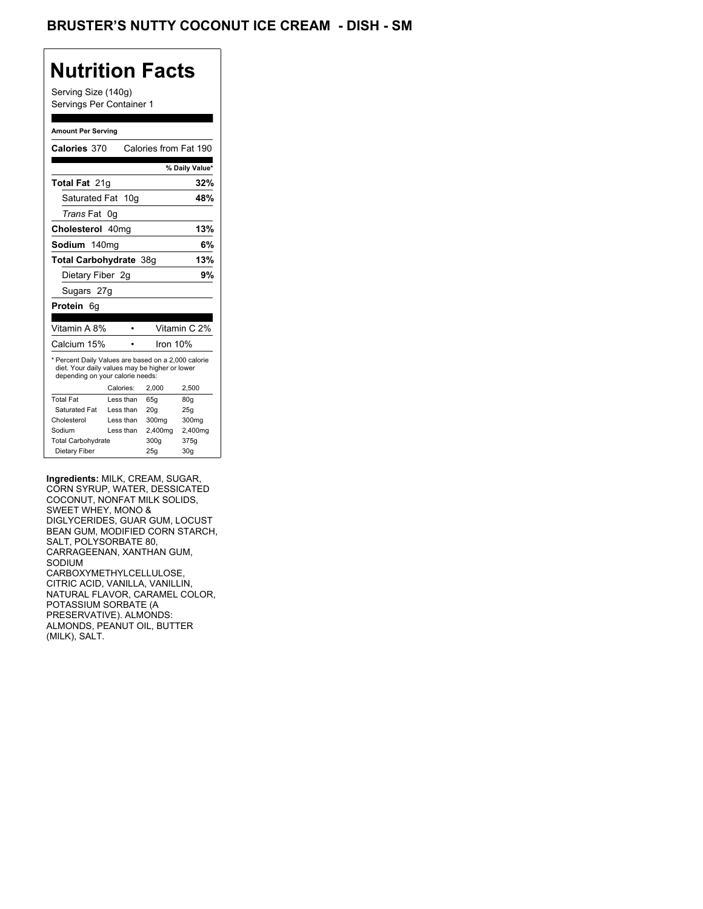## BRUSTER'S NUTTY COCONUT ICE CREAM - DISH - SM

## **Nutrition Facts**

Serving Size (140g) Servings Per Container 1

#### **Amount Per Serving**

| Calories 370                                                                                                                              |           |         | Calories from Fat 190 |
|-------------------------------------------------------------------------------------------------------------------------------------------|-----------|---------|-----------------------|
|                                                                                                                                           |           |         |                       |
|                                                                                                                                           |           |         | % Daily Value*        |
| <b>Total Fat 21g</b>                                                                                                                      |           |         | 32%                   |
| Saturated Fat                                                                                                                             | 10q       |         | 48%                   |
| <i>Trans</i> Fat                                                                                                                          | 0g        |         |                       |
| Cholesterol 40mg                                                                                                                          |           |         | 13%                   |
| Sodium 140mg                                                                                                                              |           |         | 6%                    |
| Total Carbohydrate 38g                                                                                                                    |           |         | 13%                   |
| Dietary Fiber 2g                                                                                                                          |           |         | 9%                    |
| Sugars 27g                                                                                                                                |           |         |                       |
| Protein<br>6a                                                                                                                             |           |         |                       |
|                                                                                                                                           |           |         |                       |
| Vitamin A 8%                                                                                                                              |           |         | Vitamin C 2%          |
| Calcium 15%                                                                                                                               |           |         | Iron $10%$            |
| * Percent Daily Values are based on a 2,000 calorie<br>diet. Your daily values may be higher or lower<br>depending on your calorie needs: |           |         |                       |
|                                                                                                                                           | Calories: | 2.000   | 2.500                 |
| <b>Total Fat</b>                                                                                                                          | Less than | 65q     | 80q                   |
| Saturated Fat                                                                                                                             | Less than | 20q     | 25q                   |
| Cholesterol                                                                                                                               | Less than | 300mg   | 300mg                 |
| Sodium                                                                                                                                    | Less than | 2,400mg | 2,400mg               |
| <b>Total Carbohydrate</b>                                                                                                                 |           | 300q    | 375g                  |
|                                                                                                                                           |           |         |                       |

**Ingredients:** MILK, CREAM, SUGAR, CORN SYRUP, WATER, DESSICATED COCONUT, NONFAT MILK SOLIDS, SWEET WHEY, MONO & DIGLYCERIDES, GUAR GUM, LOCUST BEAN GUM, MODIFIED CORN STARCH, SALT, POLYSORBATE 80, CARRAGEENAN, XANTHAN GUM, SODIUM CARBOXYMETHYLCELLULOSE, CITRIC ACID, VANILLA, VANILLIN, NATURAL FLAVOR, CARAMEL COLOR, POTASSIUM SORBATE (A PRESERVATIVE). ALMONDS: ALMONDS, PEANUT OIL, BUTTER (MILK), SALT.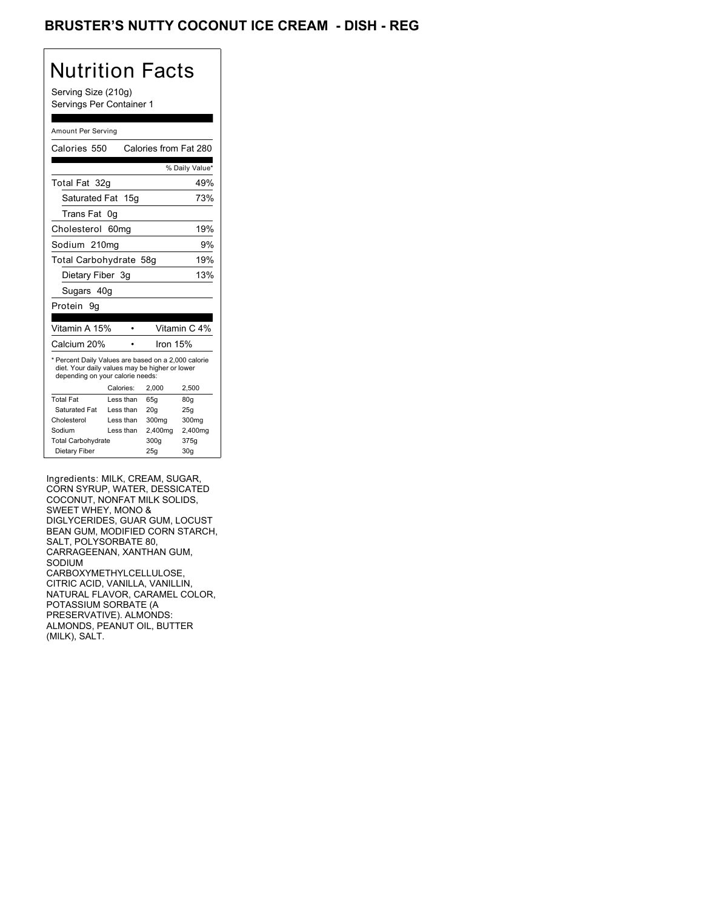## BRUSTER'S NUTTY COCONUT ICE CREAM - DISH - REG

## Nutrition Facts

Serving Size (210g) Servings Per Container 1

#### Amount Per Serving

| Calories 550                                                                                                                              |           |     |                 | Calories from Fat 280 |
|-------------------------------------------------------------------------------------------------------------------------------------------|-----------|-----|-----------------|-----------------------|
|                                                                                                                                           |           |     |                 | % Daily Value*        |
| Total Fat 32g                                                                                                                             |           |     |                 | 49%                   |
| Saturated Fat 15g                                                                                                                         |           |     |                 | 73%                   |
| Trans Fat                                                                                                                                 | 0g        |     |                 |                       |
| Cholesterol 60mg                                                                                                                          |           |     |                 | 19%                   |
| Sodium 210mg                                                                                                                              |           |     |                 | 9%                    |
| Total Carbohydrate 58g                                                                                                                    |           |     |                 | 19%                   |
| Dietary Fiber 3g                                                                                                                          |           |     |                 | 13%                   |
| Sugars 40g                                                                                                                                |           |     |                 |                       |
| Protein<br>9g                                                                                                                             |           |     |                 |                       |
|                                                                                                                                           |           |     |                 |                       |
| Vitamin A 15%                                                                                                                             |           |     |                 | Vitamin C 4%          |
| Calcium 20%                                                                                                                               |           |     | Iron 15%        |                       |
| * Percent Daily Values are based on a 2,000 calorie<br>diet. Your daily values may be higher or lower<br>depending on your calorie needs: |           |     |                 |                       |
|                                                                                                                                           | Calories: |     | 2,000           | 2,500                 |
| <b>Total Fat</b>                                                                                                                          | Less than | 65q |                 | 80q                   |
| Saturated Fat                                                                                                                             | Less than |     | 20 <sub>g</sub> | 25g                   |
| Cholesterol                                                                                                                               | Less than |     | 300mg           | 300mg                 |
| Sodium                                                                                                                                    | Less than |     | 2,400mg         | 2,400mg               |
| <b>Total Carbohydrate</b>                                                                                                                 |           |     | 300g            | 375g                  |
| Dietary Fiber                                                                                                                             |           | 25g |                 | 30 <sub>g</sub>       |

Ingredients: MILK, CREAM, SUGAR, CORN SYRUP, WATER, DESSICATED COCONUT, NONFAT MILK SOLIDS, SWEET WHEY, MONO & DIGLYCERIDES, GUAR GUM, LOCUST BEAN GUM, MODIFIED CORN STARCH, SALT, POLYSORBATE 80, CARRAGEENAN, XANTHAN GUM, SODIUM CARBOXYMETHYLCELLULOSE, CITRIC ACID, VANILLA, VANILLIN, NATURAL FLAVOR, CARAMEL COLOR, POTASSIUM SORBATE (A PRESERVATIVE). ALMONDS: ALMONDS, PEANUT OIL, BUTTER (MILK), SALT.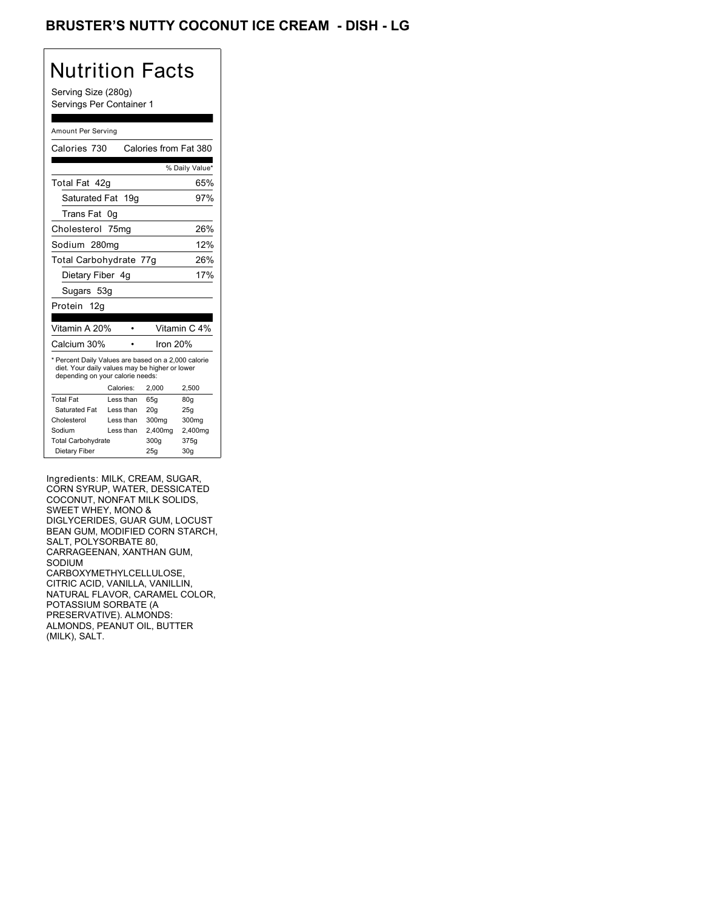## BRUSTER'S NUTTY COCONUT ICE CREAM - DISH - LG

## Nutrition Facts

Serving Size (280g) Servings Per Container 1

#### Amount Per Serving

| Calories 730                                                                                                                              |           | Calories from Fat 380 |                 |
|-------------------------------------------------------------------------------------------------------------------------------------------|-----------|-----------------------|-----------------|
|                                                                                                                                           |           |                       | % Daily Value*  |
| Total Fat 42q                                                                                                                             |           |                       | 65%             |
| Saturated Fat 19g                                                                                                                         |           |                       | 97%             |
| Trans Fat                                                                                                                                 | 0g        |                       |                 |
| Cholesterol 75mg                                                                                                                          |           |                       | 26%             |
| Sodium 280mg                                                                                                                              |           |                       | 12%             |
| Total Carbohydrate 77g                                                                                                                    |           |                       | 26%             |
| Dietary Fiber 4g                                                                                                                          |           |                       | 17%             |
| Sugars 53g                                                                                                                                |           |                       |                 |
| Protein 12g                                                                                                                               |           |                       |                 |
|                                                                                                                                           |           |                       |                 |
| Vitamin A 20%                                                                                                                             |           |                       | Vitamin C 4%    |
| Calcium 30%                                                                                                                               |           | Iron $20%$            |                 |
| * Percent Daily Values are based on a 2,000 calorie<br>diet. Your daily values may be higher or lower<br>depending on your calorie needs: |           |                       |                 |
|                                                                                                                                           | Calories: | 2.000                 | 2.500           |
| <b>Total Fat</b>                                                                                                                          | Less than | 65q                   | 80q             |
| Saturated Fat                                                                                                                             | Less than | 20q                   | 25g             |
| Cholesterol                                                                                                                               | Less than | 300mg                 | 300mg           |
| Sodium                                                                                                                                    | Less than | 2,400mg               | 2,400mg         |
| <b>Total Carbohydrate</b>                                                                                                                 |           | 300q                  | 375g            |
| Dietary Fiber                                                                                                                             |           | 25q                   | 30 <sub>g</sub> |

Ingredients: MILK, CREAM, SUGAR, CORN SYRUP, WATER, DESSICATED COCONUT, NONFAT MILK SOLIDS, SWEET WHEY, MONO & DIGLYCERIDES, GUAR GUM, LOCUST BEAN GUM, MODIFIED CORN STARCH, SALT, POLYSORBATE 80, CARRAGEENAN, XANTHAN GUM, SODIUM CARBOXYMETHYLCELLULOSE, CITRIC ACID, VANILLA, VANILLIN, NATURAL FLAVOR, CARAMEL COLOR, POTASSIUM SORBATE (A PRESERVATIVE). ALMONDS: ALMONDS, PEANUT OIL, BUTTER (MILK), SALT.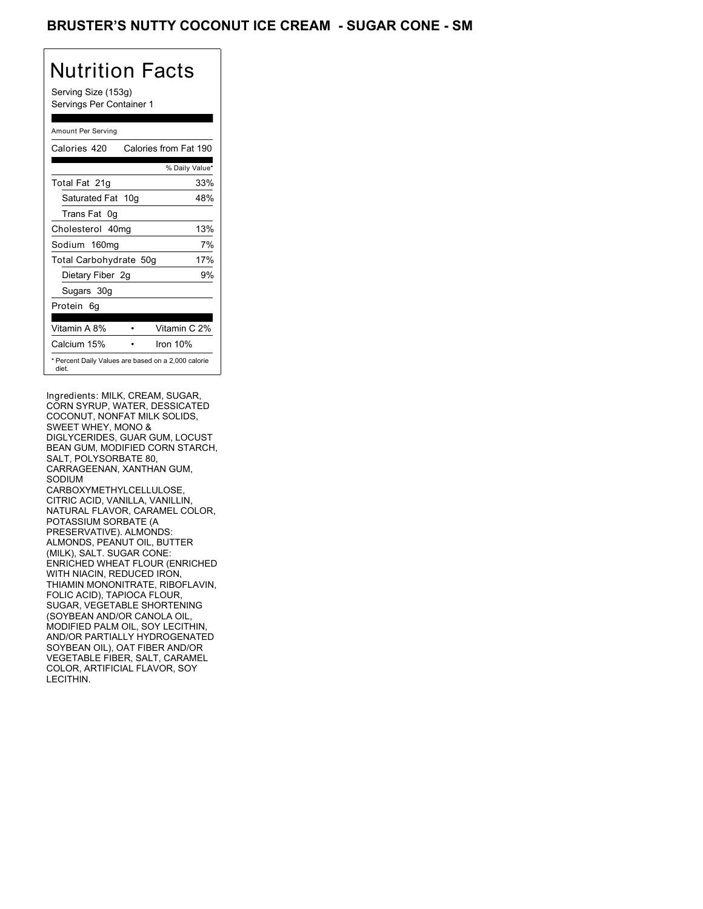## BRUSTER'S NUTTY COCONUT ICE CREAM - SUGAR CONE - SM

# Nutrition Facts

Serving Size (153g) Servings Per Container 1

### Amount Per Serving

| Calories 420                                                 | Calories from Fat 190 |
|--------------------------------------------------------------|-----------------------|
|                                                              | % Daily Value*        |
| Total Fat 21q                                                | 33%                   |
| Saturated Fat 10g                                            | 48%                   |
| Trans Fat 0q                                                 |                       |
| Cholesterol 40mg                                             | 13%                   |
| Sodium 160mg                                                 | 7%                    |
| Total Carbohydrate 50g                                       | 17%                   |
| Dietary Fiber 2g                                             | 9%                    |
| Sugars 30g                                                   |                       |
| Protein 6q                                                   |                       |
| Vitamin A 8%                                                 | Vitamin C 2%          |
| Calcium 15%                                                  | Iron $10%$            |
| * Percent Daily Values are based on a 2,000 calorie<br>diet. |                       |

Ingredients: MILK, CREAM, SUGAR, CORN SYRUP, WATER, DESSICATED COCONUT, NONFAT MILK SOLIDS, SWEET WHEY, MONO & DIGLYCERIDES, GUAR GUM, LOCUST BEAN GUM, MODIFIED CORN STARCH, SALT, POLYSORBATE 80, CARRAGEENAN, XANTHAN GUM, SODIUM CARBOXYMETHYLCELLULOSE, CITRIC ACID, VANILLA, VANILLIN, NATURAL FLAVOR, CARAMEL COLOR, POTASSIUM SORBATE (A PRESERVATIVE). ALMONDS: ALMONDS, PEANUT OIL, BUTTER (MILK), SALT. SUGAR CONE: ENRICHED WHEAT FLOUR (ENRICHED WITH NIACIN, REDUCED IRON, THIAMIN MONONITRATE, RIBOFLAVIN, FOLIC ACID), TAPIOCA FLOUR, SUGAR, VEGETABLE SHORTENING (SOYBEAN AND/OR CANOLA OIL, MODIFIED PALM OIL, SOY LECITHIN, AND/OR PARTIALLY HYDROGENATED SOYBEAN OIL), OAT FIBER AND/OR VEGETABLE FIBER, SALT, CARAMEL COLOR, ARTIFICIAL FLAVOR, SOY LECITHIN.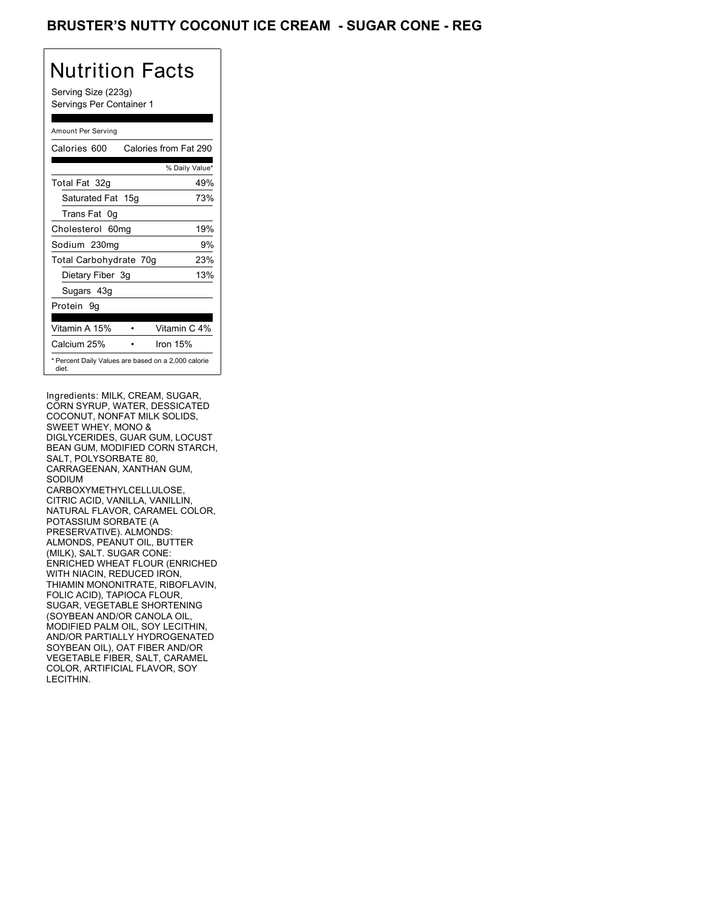## BRUSTER'S NUTTY COCONUT ICE CREAM - SUGAR CONE - REG

# Nutrition Facts

Serving Size (223g) Servings Per Container 1

### Amount Per Serving

| Calories 600           | Calories from Fat 290                               |
|------------------------|-----------------------------------------------------|
|                        | % Daily Value*                                      |
| Total Fat 32g          | 49%                                                 |
| Saturated Fat 15g      | 73%                                                 |
| Trans Fat 0q           |                                                     |
| Cholesterol 60mg       | 19%                                                 |
| Sodium 230mg           | 9%                                                  |
| Total Carbohydrate 70g | 23%                                                 |
| Dietary Fiber 3g       | 13%                                                 |
| Sugars 43g             |                                                     |
| Protein 9q             |                                                     |
| Vitamin A 15%          | Vitamin C 4%                                        |
| Calcium 25%            | Iron $15%$                                          |
| diet.                  | * Percent Daily Values are based on a 2,000 calorie |

Ingredients: MILK, CREAM, SUGAR, CORN SYRUP, WATER, DESSICATED COCONUT, NONFAT MILK SOLIDS, SWEET WHEY, MONO & DIGLYCERIDES, GUAR GUM, LOCUST BEAN GUM, MODIFIED CORN STARCH, SALT, POLYSORBATE 80, CARRAGEENAN, XANTHAN GUM, SODIUM CARBOXYMETHYLCELLULOSE, CITRIC ACID, VANILLA, VANILLIN, NATURAL FLAVOR, CARAMEL COLOR, POTASSIUM SORBATE (A PRESERVATIVE). ALMONDS: ALMONDS, PEANUT OIL, BUTTER (MILK), SALT. SUGAR CONE: ENRICHED WHEAT FLOUR (ENRICHED WITH NIACIN, REDUCED IRON, THIAMIN MONONITRATE, RIBOFLAVIN, FOLIC ACID), TAPIOCA FLOUR, SUGAR, VEGETABLE SHORTENING (SOYBEAN AND/OR CANOLA OIL, MODIFIED PALM OIL, SOY LECITHIN, AND/OR PARTIALLY HYDROGENATED SOYBEAN OIL), OAT FIBER AND/OR VEGETABLE FIBER, SALT, CARAMEL COLOR, ARTIFICIAL FLAVOR, SOY LECITHIN.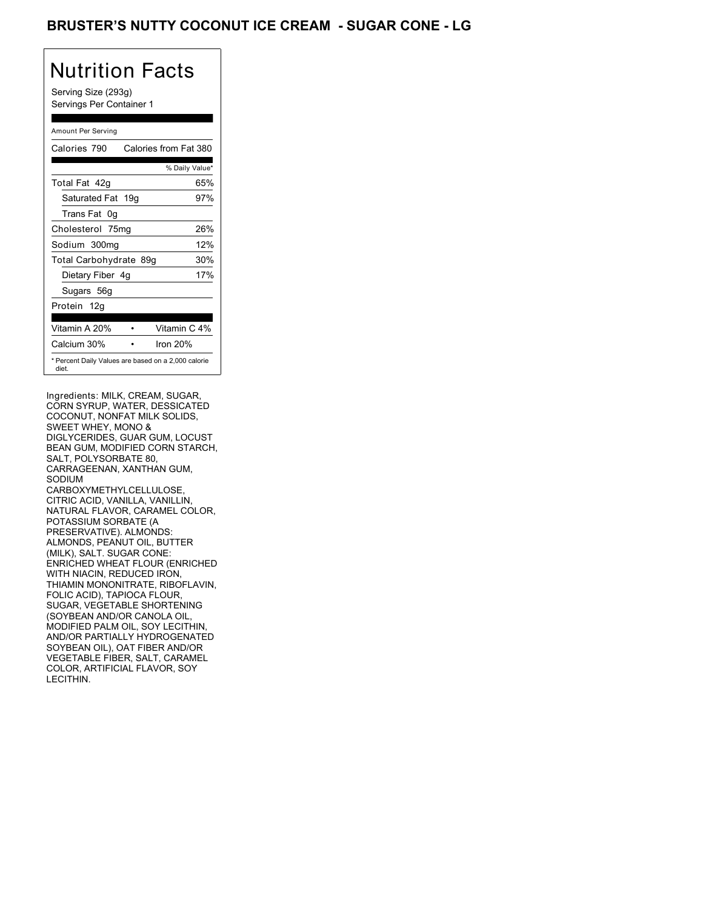## BRUSTER'S NUTTY COCONUT ICE CREAM - SUGAR CONE - LG

# Nutrition Facts

Serving Size (293g) Servings Per Container 1

### Amount Per Serving

| Calories 790           | Calories from Fat 380                               |
|------------------------|-----------------------------------------------------|
|                        | % Daily Value*                                      |
| Total Fat 42q          | 65%                                                 |
| Saturated Fat 19g      | 97%                                                 |
| Trans Fat 0q           |                                                     |
| Cholesterol 75mg       | 26%                                                 |
| Sodium 300mg           | 12%                                                 |
| Total Carbohydrate 89g | 30%                                                 |
| Dietary Fiber 4g       | 17%                                                 |
| Sugars 56g             |                                                     |
| Protein 12q            |                                                     |
|                        |                                                     |
| Vitamin A 20%          | Vitamin C 4%                                        |
| Calcium 30%            | Iron $20%$                                          |
| diet.                  | * Percent Daily Values are based on a 2,000 calorie |

Ingredients: MILK, CREAM, SUGAR, CORN SYRUP, WATER, DESSICATED COCONUT, NONFAT MILK SOLIDS, SWEET WHEY, MONO & DIGLYCERIDES, GUAR GUM, LOCUST BEAN GUM, MODIFIED CORN STARCH, SALT, POLYSORBATE 80, CARRAGEENAN, XANTHAN GUM, SODIUM CARBOXYMETHYLCELLULOSE, CITRIC ACID, VANILLA, VANILLIN, NATURAL FLAVOR, CARAMEL COLOR, POTASSIUM SORBATE (A PRESERVATIVE). ALMONDS: ALMONDS, PEANUT OIL, BUTTER (MILK), SALT. SUGAR CONE: ENRICHED WHEAT FLOUR (ENRICHED WITH NIACIN, REDUCED IRON, THIAMIN MONONITRATE, RIBOFLAVIN, FOLIC ACID), TAPIOCA FLOUR, SUGAR, VEGETABLE SHORTENING (SOYBEAN AND/OR CANOLA OIL, MODIFIED PALM OIL, SOY LECITHIN, AND/OR PARTIALLY HYDROGENATED SOYBEAN OIL), OAT FIBER AND/OR VEGETABLE FIBER, SALT, CARAMEL COLOR, ARTIFICIAL FLAVOR, SOY LECITHIN.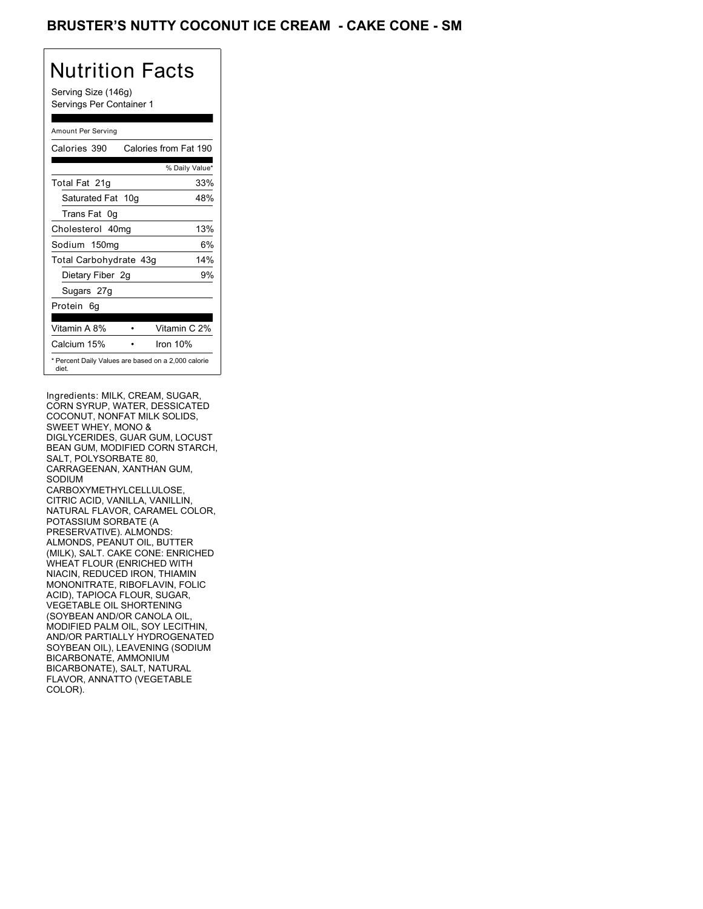## BRUSTER'S NUTTY COCONUT ICE CREAM - CAKE CONE - SM

## Nutrition Facts

Serving Size (146g) Servings Per Container 1

### Amount Per Serving

| Calories 390                                                 | Calories from Fat 190 |
|--------------------------------------------------------------|-----------------------|
|                                                              | % Daily Value*        |
| Total Fat 21g                                                | 33%                   |
| Saturated Fat 10g                                            | 48%                   |
| Trans Fat 0q                                                 |                       |
| Cholesterol 40mg                                             | 13%                   |
| Sodium 150mg                                                 | 6%                    |
| Total Carbohydrate 43g                                       | 14%                   |
| Dietary Fiber 2g                                             | 9%                    |
| Sugars 27g                                                   |                       |
| Protein 6q                                                   |                       |
| Vitamin A 8%                                                 | Vitamin C 2%          |
| Calcium 15%                                                  | Iron $10%$            |
| * Percent Daily Values are based on a 2,000 calorie<br>diet. |                       |

Ingredients: MILK, CREAM, SUGAR, CORN SYRUP, WATER, DESSICATED COCONUT, NONFAT MILK SOLIDS, SWEET WHEY, MONO & DIGLYCERIDES, GUAR GUM, LOCUST BEAN GUM, MODIFIED CORN STARCH, SALT, POLYSORBATE 80, CARRAGEENAN, XANTHAN GUM, SODIUM CARBOXYMETHYLCELLULOSE, CITRIC ACID, VANILLA, VANILLIN, NATURAL FLAVOR, CARAMEL COLOR, POTASSIUM SORBATE (A PRESERVATIVE). ALMONDS: ALMONDS, PEANUT OIL, BUTTER (MILK), SALT. CAKE CONE: ENRICHED WHEAT FLOUR (ENRICHED WITH NIACIN, REDUCED IRON, THIAMIN MONONITRATE, RIBOFLAVIN, FOLIC ACID), TAPIOCA FLOUR, SUGAR, VEGETABLE OIL SHORTENING (SOYBEAN AND/OR CANOLA OIL, MODIFIED PALM OIL, SOY LECITHIN, AND/OR PARTIALLY HYDROGENATED SOYBEAN OIL), LEAVENING (SODIUM BICARBONATE, AMMONIUM BICARBONATE), SALT, NATURAL FLAVOR, ANNATTO (VEGETABLE COLOR).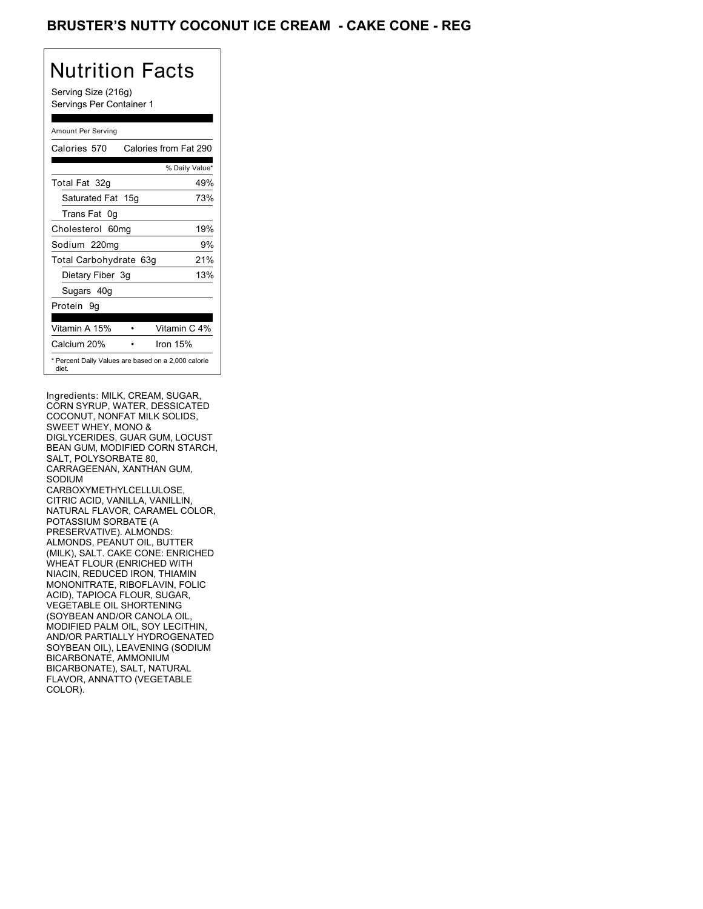## BRUSTER'S NUTTY COCONUT ICE CREAM **- CAKE CONE - REG**

# Nutrition Facts

Serving Size (216g) Servings Per Container 1

### Amount Per Serving

| Calories 570                                                 | Calories from Fat 290 |
|--------------------------------------------------------------|-----------------------|
|                                                              | % Daily Value*        |
| Total Fat 32g                                                | 49%                   |
| Saturated Fat 15g                                            | 73%                   |
| Trans Fat 0q                                                 |                       |
| Cholesterol 60mg                                             | 19%                   |
| Sodium 220mg                                                 | 9%                    |
| Total Carbohydrate 63g                                       | 21%                   |
| Dietary Fiber 3g                                             | 13%                   |
| Sugars 40g                                                   |                       |
| Protein 9q                                                   |                       |
| Vitamin A 15%                                                | Vitamin C 4%          |
| Calcium 20%                                                  | Iron $15%$            |
| * Percent Daily Values are based on a 2,000 calorie<br>diet. |                       |

Ingredients: MILK, CREAM, SUGAR, CORN SYRUP, WATER, DESSICATED COCONUT, NONFAT MILK SOLIDS, SWEET WHEY, MONO & DIGLYCERIDES, GUAR GUM, LOCUST BEAN GUM, MODIFIED CORN STARCH, SALT, POLYSORBATE 80, CARRAGEENAN, XANTHAN GUM, SODIUM CARBOXYMETHYLCELLULOSE, CITRIC ACID, VANILLA, VANILLIN, NATURAL FLAVOR, CARAMEL COLOR, POTASSIUM SORBATE (A PRESERVATIVE). ALMONDS: ALMONDS, PEANUT OIL, BUTTER (MILK), SALT. CAKE CONE: ENRICHED WHEAT FLOUR (ENRICHED WITH NIACIN, REDUCED IRON, THIAMIN MONONITRATE, RIBOFLAVIN, FOLIC ACID), TAPIOCA FLOUR, SUGAR, VEGETABLE OIL SHORTENING (SOYBEAN AND/OR CANOLA OIL, MODIFIED PALM OIL, SOY LECITHIN, AND/OR PARTIALLY HYDROGENATED SOYBEAN OIL), LEAVENING (SODIUM BICARBONATE, AMMONIUM BICARBONATE), SALT, NATURAL FLAVOR, ANNATTO (VEGETABLE COLOR).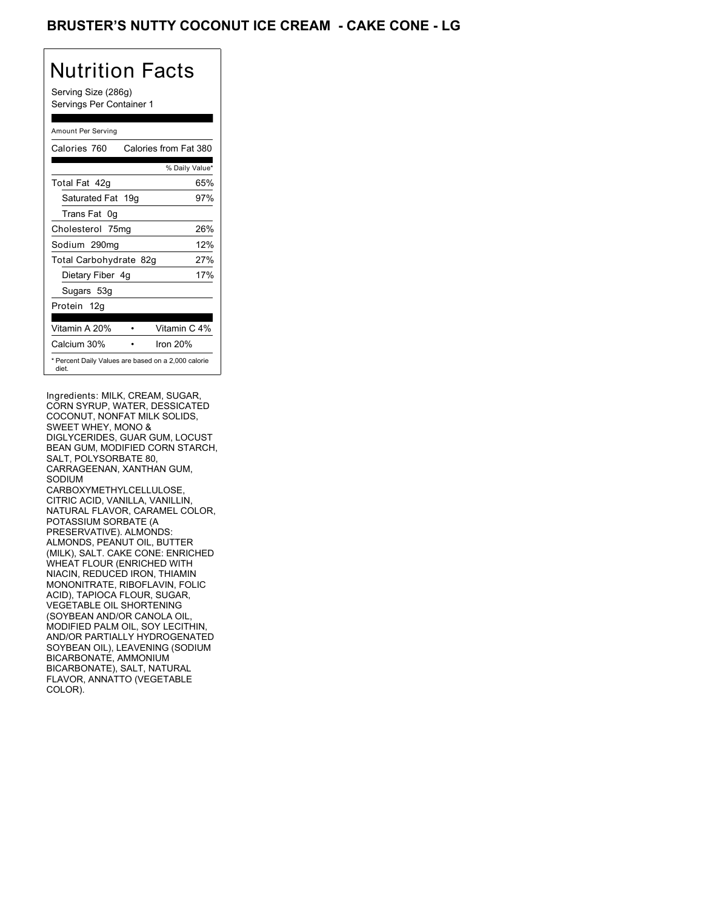## BRUSTER'S NUTTY COCONUT ICE CREAM **- CAKE CONE - LG**

# Nutrition Facts

Serving Size (286g) Servings Per Container 1

### Amount Per Serving

| Calories 760           | Calories from Fat 380                               |
|------------------------|-----------------------------------------------------|
|                        | % Daily Value*                                      |
| Total Fat 42g          | 65%                                                 |
| Saturated Fat 19g      | 97%                                                 |
| Trans Fat 0q           |                                                     |
| Cholesterol 75mg       | 26%                                                 |
| Sodium 290mg           | 12%                                                 |
| Total Carbohydrate 82g | 27%                                                 |
| Dietary Fiber 4g       | 17%                                                 |
| Sugars 53g             |                                                     |
| Protein 12g            |                                                     |
| Vitamin A 20%          | Vitamin C 4%                                        |
| Calcium 30%            | Iron $20%$                                          |
| diet.                  | * Percent Daily Values are based on a 2,000 calorie |

Ingredients: MILK, CREAM, SUGAR, CORN SYRUP, WATER, DESSICATED COCONUT, NONFAT MILK SOLIDS, SWEET WHEY, MONO & DIGLYCERIDES, GUAR GUM, LOCUST BEAN GUM, MODIFIED CORN STARCH, SALT, POLYSORBATE 80, CARRAGEENAN, XANTHAN GUM, SODIUM CARBOXYMETHYLCELLULOSE, CITRIC ACID, VANILLA, VANILLIN, NATURAL FLAVOR, CARAMEL COLOR, POTASSIUM SORBATE (A PRESERVATIVE). ALMONDS: ALMONDS, PEANUT OIL, BUTTER (MILK), SALT. CAKE CONE: ENRICHED WHEAT FLOUR (ENRICHED WITH NIACIN, REDUCED IRON, THIAMIN MONONITRATE, RIBOFLAVIN, FOLIC ACID), TAPIOCA FLOUR, SUGAR, VEGETABLE OIL SHORTENING (SOYBEAN AND/OR CANOLA OIL, MODIFIED PALM OIL, SOY LECITHIN, AND/OR PARTIALLY HYDROGENATED SOYBEAN OIL), LEAVENING (SODIUM BICARBONATE, AMMONIUM BICARBONATE), SALT, NATURAL FLAVOR, ANNATTO (VEGETABLE COLOR).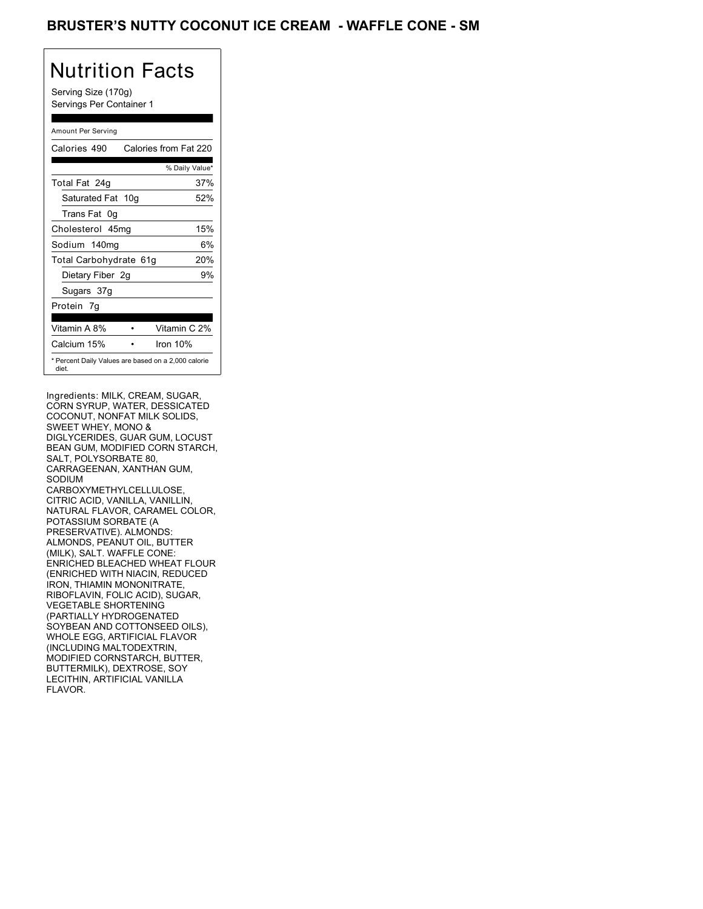## BRUSTER'S NUTTY COCONUT ICE CREAM - WAFFLE CONE - SM

## Nutrition Facts

Serving Size (170g) Servings Per Container 1

### Amount Per Serving

| Calories 490                                                 | Calories from Fat 220 |
|--------------------------------------------------------------|-----------------------|
|                                                              | % Daily Value*        |
| Total Fat 24g                                                | 37%                   |
| Saturated Fat 10g                                            | 52%                   |
| Trans Fat 0q                                                 |                       |
| Cholesterol 45mg                                             | 15%                   |
| Sodium 140mg                                                 | 6%                    |
| Total Carbohydrate 61g                                       | 20%                   |
| Dietary Fiber 2g                                             | 9%                    |
| Sugars 37g                                                   |                       |
| Protein 7q                                                   |                       |
| Vitamin A 8%                                                 | Vitamin C 2%          |
|                                                              |                       |
| Calcium 15%                                                  | Iron $10%$            |
| * Percent Daily Values are based on a 2,000 calorie<br>diet. |                       |

Ingredients: MILK, CREAM, SUGAR, CORN SYRUP, WATER, DESSICATED COCONUT, NONFAT MILK SOLIDS, SWEET WHEY, MONO & DIGLYCERIDES, GUAR GUM, LOCUST BEAN GUM, MODIFIED CORN STARCH, SALT, POLYSORBATE 80, CARRAGEENAN, XANTHAN GUM, SODIUM CARBOXYMETHYLCELLULOSE, CITRIC ACID, VANILLA, VANILLIN, NATURAL FLAVOR, CARAMEL COLOR, POTASSIUM SORBATE (A PRESERVATIVE). ALMONDS: ALMONDS, PEANUT OIL, BUTTER (MILK), SALT. WAFFLE CONE: ENRICHED BLEACHED WHEAT FLOUR (ENRICHED WITH NIACIN, REDUCED IRON, THIAMIN MONONITRATE, RIBOFLAVIN, FOLIC ACID), SUGAR, VEGETABLE SHORTENING (PARTIALLY HYDROGENATED SOYBEAN AND COTTONSEED OILS), WHOLE EGG, ARTIFICIAL FLAVOR (INCLUDING MALTODEXTRIN, MODIFIED CORNSTARCH, BUTTER, BUTTERMILK), DEXTROSE, SOY LECITHIN, ARTIFICIAL VANILLA FLAVOR.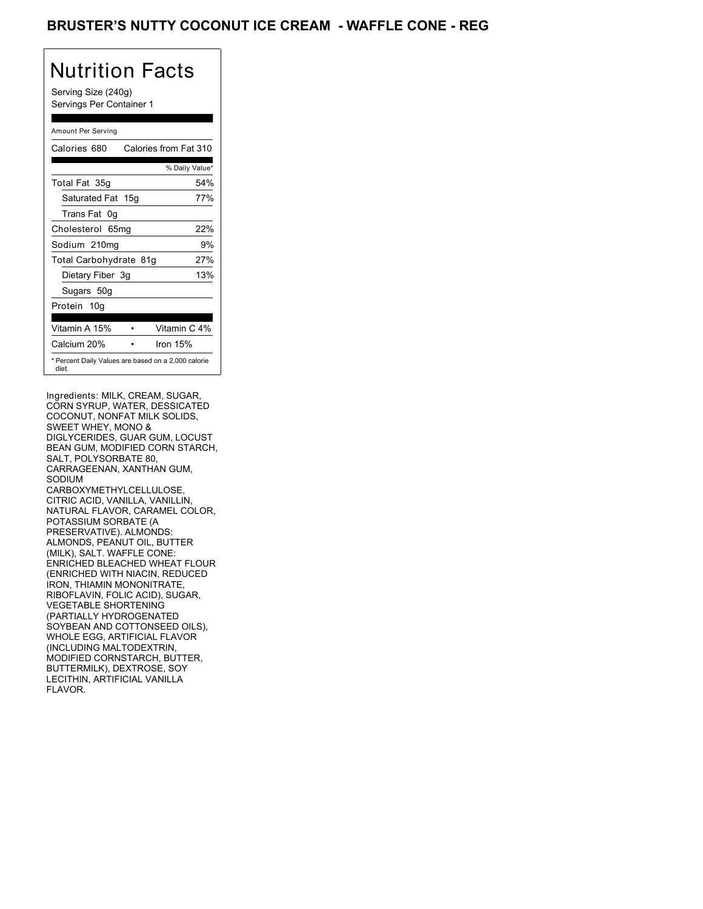## BRUSTER'S NUTTY COCONUT ICE CREAM - WAFFLE CONE - REG

## Nutrition Facts

Serving Size (240g) Servings Per Container 1

### Amount Per Serving

| Calories 680                                                 | Calories from Fat 310 |
|--------------------------------------------------------------|-----------------------|
|                                                              | % Daily Value*        |
| Total Fat 35g                                                | 54%                   |
| Saturated Fat 15g                                            | 77%                   |
| Trans Fat 0q                                                 |                       |
| Cholesterol 65mg                                             | 22%                   |
| Sodium 210mg                                                 | 9%                    |
| Total Carbohydrate 81g                                       | 27%                   |
| Dietary Fiber 3g                                             | 13%                   |
| Sugars 50g                                                   |                       |
| Protein 10g                                                  |                       |
| Vitamin A 15%                                                | Vitamin C 4%          |
| Calcium 20%                                                  | Iron $15%$            |
| * Percent Daily Values are based on a 2,000 calorie<br>diet. |                       |

Ingredients: MILK, CREAM, SUGAR, CORN SYRUP, WATER, DESSICATED COCONUT, NONFAT MILK SOLIDS, SWEET WHEY, MONO & DIGLYCERIDES, GUAR GUM, LOCUST BEAN GUM, MODIFIED CORN STARCH, SALT, POLYSORBATE 80, CARRAGEENAN, XANTHAN GUM, SODIUM CARBOXYMETHYLCELLULOSE, CITRIC ACID, VANILLA, VANILLIN, NATURAL FLAVOR, CARAMEL COLOR, POTASSIUM SORBATE (A PRESERVATIVE). ALMONDS: ALMONDS, PEANUT OIL, BUTTER (MILK), SALT. WAFFLE CONE: ENRICHED BLEACHED WHEAT FLOUR (ENRICHED WITH NIACIN, REDUCED IRON, THIAMIN MONONITRATE, RIBOFLAVIN, FOLIC ACID), SUGAR, VEGETABLE SHORTENING (PARTIALLY HYDROGENATED SOYBEAN AND COTTONSEED OILS), WHOLE EGG, ARTIFICIAL FLAVOR (INCLUDING MALTODEXTRIN, MODIFIED CORNSTARCH, BUTTER, BUTTERMILK), DEXTROSE, SOY LECITHIN, ARTIFICIAL VANILLA FLAVOR.